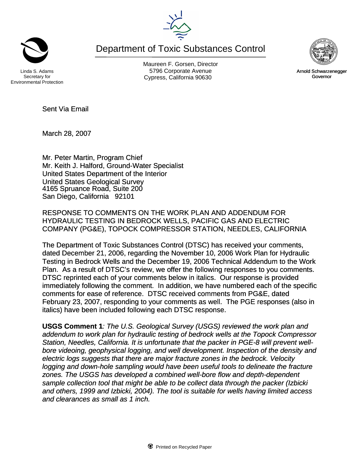Department of Toxic Substances Control



Maureen F. Gorsen, Director Linda S. Adams **Example 20 Constructs** S796 Corporate Avenu

Sent Via Email

March 28, 2007

Mr. Peter Martin, Program Chief Mr. Keith J. Halford, Ground-Water Specialist United States Department of the Interior United States Geological Survey 4165 Spruance Road, Suite 200 San Diego, California 92101

RESPONSE TO COMMENTS ON THE WORK PLAN AND ADDENDUM FOR HYDRAULIC TESTING IN BEDROCK WELLS, PACIFIC GAS AND ELECTRIC COMPANY (PG&E), TOPOCK COMPRESSOR STATION, NEEDLES, CALIFORNIA

The Department of Toxic Substances Control (DTSC) has received your comments, dated December 21, 2006, regarding the November 10, 2006 Work Plan for Hydraulic Testing in Bedrock Wells and the December 19, 2006 Technical Addendum to the Work Plan. As a result of DTSC's review, we offer the following responses to you comments. DTSC reprinted each of your comments below in italics. Our response is provided immediately following the comment. In addition, we have numbered each of the specific comments for ease of reference. DTSC received comments from PG&E, dated February 23, 2007, responding to your comments as well. The PGE responses (also in italics) have been included following each DTSC response.

**USGS Comment 1***: The U.S. Geological Survey (USGS) reviewed the work plan and addendum to work plan for hydraulic testing of bedrock wells at the Topock Compressor Station, Needles, California. It is unfortunate that the packer in PGE-8 will prevent wellbore videoing, geophysical logging, and well development. Inspection of the density and electric logs suggests that there are major fracture zones in the bedrock. Velocity logging and down-hole sampling would have been useful tools to delineate the fracture zones. The USGS has developed a combined well-bore flow and depth-dependent sample collection tool that might be able to be collect data through the packer (Izbicki and others, 1999 and Izbicki, 2004). The tool is suitable for wells having limited access and clearances as small as 1 inch.*





Cypress, California 90630 **Canadian Cypress**, California 90630 Arnold Schwarzenegger Governor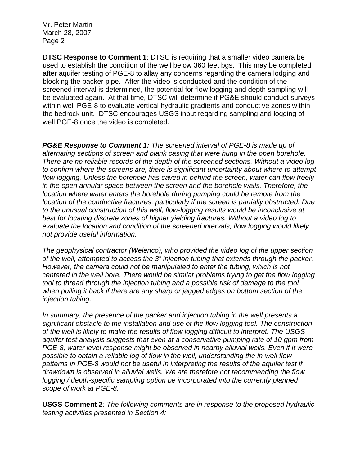Mr. Peter Martin March 28, 2007 Page 2

**DTSC Response to Comment 1**: DTSC is requiring that a smaller video camera be used to establish the condition of the well below 360 feet bgs. This may be completed after aquifer testing of PGE-8 to allay any concerns regarding the camera lodging and blocking the packer pipe. After the video is conducted and the condition of the screened interval is determined, the potential for flow logging and depth sampling will be evaluated again. At that time, DTSC will determine if PG&E should conduct surveys within well PGE-8 to evaluate vertical hydraulic gradients and conductive zones within the bedrock unit. DTSC encourages USGS input regarding sampling and logging of well PGE-8 once the video is completed.

*PG&E Response to Comment 1: The screened interval of PGE-8 is made up of alternating sections of screen and blank casing that were hung in the open borehole. There are no reliable records of the depth of the screened sections. Without a video log to confirm where the screens are, there is significant uncertainty about where to attempt flow logging. Unless the borehole has caved in behind the screen, water can flow freely in the open annular space between the screen and the borehole walls. Therefore, the location where water enters the borehole during pumping could be remote from the location of the conductive fractures, particularly if the screen is partially obstructed. Due to the unusual construction of this well, flow-logging results would be inconclusive at best for locating discrete zones of higher yielding fractures. Without a video log to evaluate the location and condition of the screened intervals, flow logging would likely not provide useful information.* 

*The geophysical contractor (Welenco), who provided the video log of the upper section of the well, attempted to access the 3" injection tubing that extends through the packer. However, the camera could not be manipulated to enter the tubing, which is not centered in the well bore. There would be similar problems trying to get the flow logging tool to thread through the injection tubing and a possible risk of damage to the tool when pulling it back if there are any sharp or jagged edges on bottom section of the injection tubing.* 

*In summary, the presence of the packer and injection tubing in the well presents a significant obstacle to the installation and use of the flow logging tool. The construction of the well is likely to make the results of flow logging difficult to interpret. The USGS aquifer test analysis suggests that even at a conservative pumping rate of 10 gpm from PGE-8, water level response might be observed in nearby alluvial wells. Even if it were possible to obtain a reliable log of flow in the well, understanding the in-well flow patterns in PGE-8 would not be useful in interpreting the results of the aquifer test if drawdown is observed in alluvial wells. We are therefore not recommending the flow logging / depth-specific sampling option be incorporated into the currently planned scope of work at PGE-8.* 

**USGS Comment 2***: The following comments are in response to the proposed hydraulic testing activities presented in Section 4:*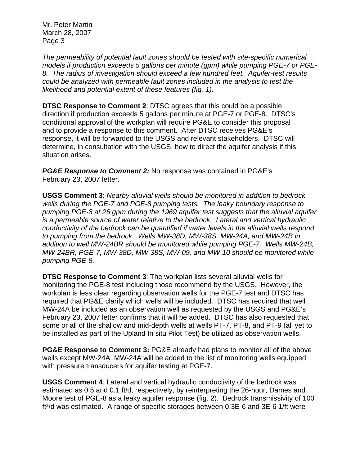Mr. Peter Martin March 28, 2007 Page 3

*The permeability of potential fault zones should be tested with site-specific numerical models if production exceeds 5 gallons per minute (gpm) while pumping PGE-7 or PGE-8. The radius of investigation should exceed a few hundred feet. Aquifer-test results could be analyzed with permeable fault zones included in the analysis to test the likelihood and potential extent of these features (fig. 1).* 

**DTSC Response to Comment 2**: DTSC agrees that this could be a possible direction if production exceeds 5 gallons per minute at PGE-7 or PGE-8. DTSC's conditional approval of the workplan will require PG&E to consider this proposal and to provide a response to this comment. After DTSC receives PG&E's response, it will be forwarded to the USGS and relevant stakeholders. DTSC will determine, in consultation with the USGS, how to direct the aquifer analysis if this situation arises.

*PG&E Response to Comment 2:* No response was contained in PG&E's February 23, 2007 letter.

**USGS Comment 3**: *Nearby alluvial wells should be monitored in addition to bedrock wells during the PGE-7 and PGE-8 pumping tests. The leaky boundary response to pumping PGE-8 at 26 gpm during the 1969 aquifer test suggests that the alluvial aquifer is a permeable source of water relative to the bedrock. Lateral and vertical hydraulic conductivity of the bedrock can be quantified if water levels in the alluvial wells respond to pumping from the bedrock. Wells MW-38D, MW-38S, MW-24A, and MW-24B in addition to well MW-24BR should be monitored while pumping PGE-7. Wells MW-24B, MW-24BR, PGE-7, MW-38D, MW-38S, MW-09, and MW-10 should be monitored while pumping PGE-8.* 

**DTSC Response to Comment 3**: The workplan lists several alluvial wells for monitoring the PGE-8 test including those recommend by the USGS. However, the workplan is less clear regarding observation wells for the PGE-7 test and DTSC has required that PG&E clarify which wells will be included. DTSC has required that well MW-24A be included as an observation well as requested by the USGS and PG&E's February 23, 2007 letter confirms that it will be added. DTSC has also requested that some or all of the shallow and mid-depth wells at wells PT-7, PT-8, and PT-9 (all yet to be installed as part of the Upland In situ Pilot Test) be utilized as observation wells.

**PG&E Response to Comment 3:** PG&E already had plans to monitor all of the above wells except MW-24A. MW-24A will be added to the list of monitoring wells equipped with pressure transducers for aquifer testing at PGE-7.

**USGS Comment 4**: Lateral and vertical hydraulic conductivity of the bedrock was estimated as 0.5 and 0.1 ft/d, respectively, by reinterpreting the 26-hour, Dames and Moore test of PGE-8 as a leaky aquifer response (fig. 2). Bedrock transmissivity of 100 ft²/d was estimated. A range of specific storages between 0.3E-6 and 3E-6 1/ft were